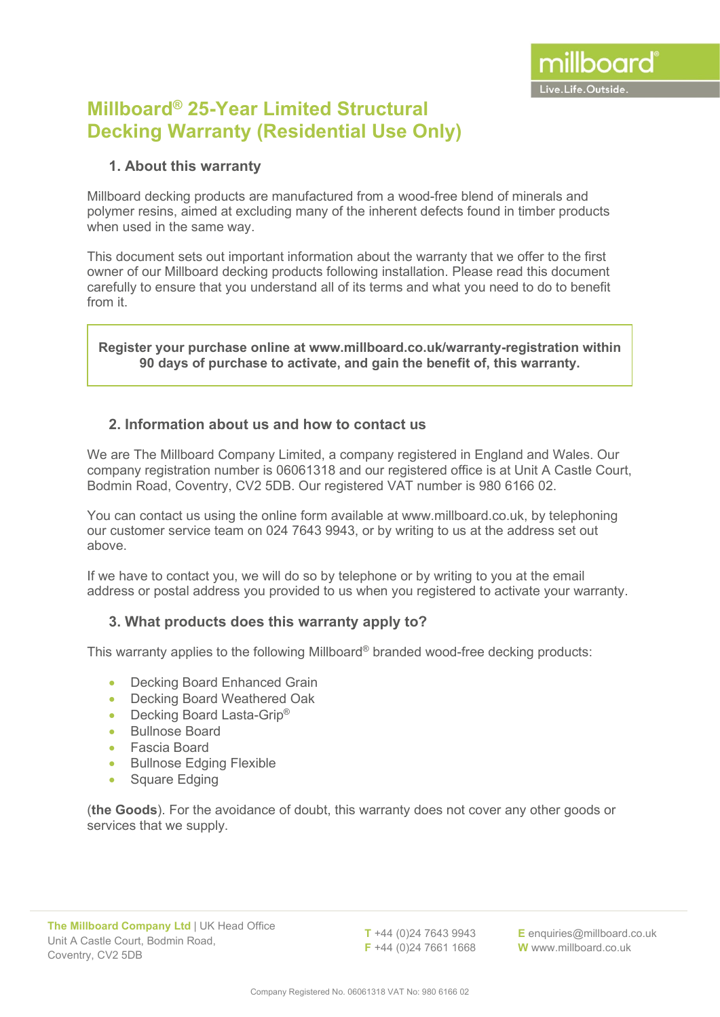# **Millboard® 25-Year Limited Structural Decking Warranty (Residential Use Only)**

### **1. About this warranty**

Millboard decking products are manufactured from a wood-free blend of minerals and polymer resins, aimed at excluding many of the inherent defects found in timber products when used in the same way.

This document sets out important information about the warranty that we offer to the first owner of our Millboard decking products following installation. Please read this document carefully to ensure that you understand all of its terms and what you need to do to benefit from it.

**Register your purchase online at www.millboard.co.uk/warranty-registration within 90 days of purchase to activate, and gain the benefit of, this warranty.**

#### **2. Information about us and how to contact us**

We are The Millboard Company Limited, a company registered in England and Wales. Our company registration number is 06061318 and our registered office is at Unit A Castle Court, Bodmin Road, Coventry, CV2 5DB. Our registered VAT number is 980 6166 02.

You can contact us using the online form available at [www.millboard.co.uk,](http://www.millboard.co.uk/) by telephoning our customer service team on 024 7643 9943, or by writing to us at the address set out above.

If we have to contact you, we will do so by telephone or by writing to you at the email address or postal address you provided to us when you registered to activate your warranty.

## **3. What products does this warranty apply to?**

This warranty applies to the following Millboard® branded wood-free decking products:

- Decking Board Enhanced Grain
- Decking Board Weathered Oak
- Decking Board Lasta-Grip<sup>®</sup>
- Bullnose Board
- Fascia Board
- Bullnose Edging Flexible
- Square Edging

(**the Goods**). For the avoidance of doubt, this warranty does not cover any other goods or services that we supply.

**T** +44 (0)24 7643 9943 **F** +44 (0)24 7661 1668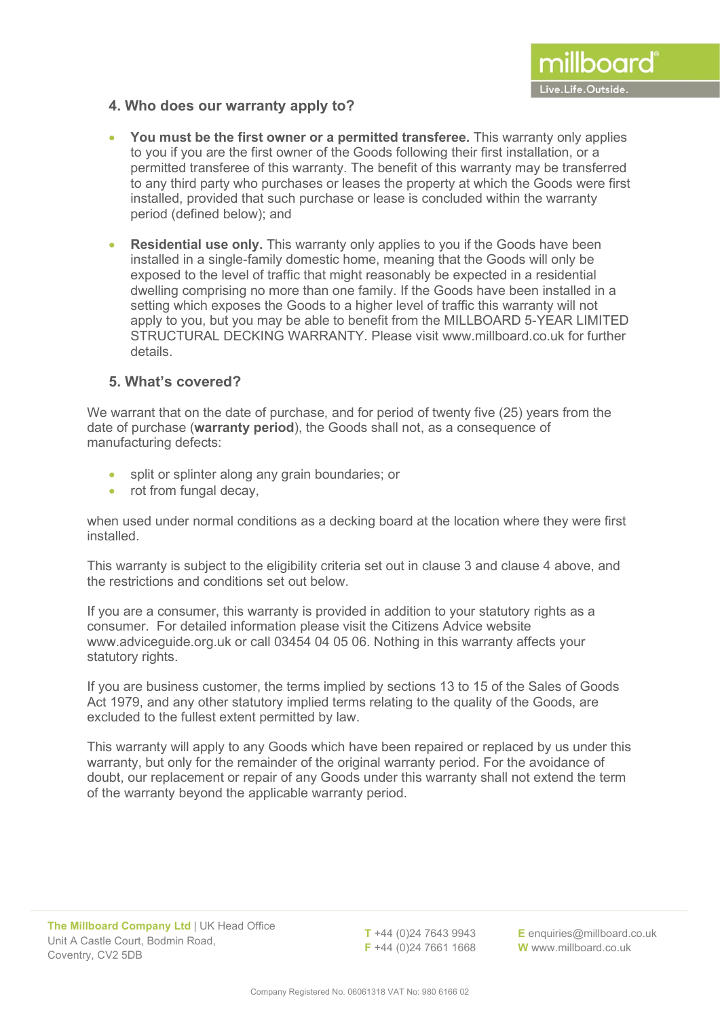#### **4. Who does our warranty apply to?**

- **You must be the first owner or a permitted transferee.** This warranty only applies to you if you are the first owner of the Goods following their first installation, or a permitted transferee of this warranty. The benefit of this warranty may be transferred to any third party who purchases or leases the property at which the Goods were first installed, provided that such purchase or lease is concluded within the warranty period (defined below); and
- **Residential use only.** This warranty only applies to you if the Goods have been installed in a single-family domestic home, meaning that the Goods will only be exposed to the level of traffic that might reasonably be expected in a residential dwelling comprising no more than one family. If the Goods have been installed in a setting which exposes the Goods to a higher level of traffic this warranty will not apply to you, but you may be able to benefit from the MILLBOARD 5-YEAR LIMITED STRUCTURAL DECKING WARRANTY. Please visit [www.millboard.co.uk](http://www.millboard.co.uk/) for further details.

#### **5. What's covered?**

We warrant that on the date of purchase, and for period of twenty five (25) years from the date of purchase (**warranty period**), the Goods shall not, as a consequence of manufacturing defects:

- split or splinter along any grain boundaries; or
- rot from fungal decay,

when used under normal conditions as a decking board at the location where they were first installed.

This warranty is subject to the eligibility criteria set out in clause 3 and clause 4 above, and the restrictions and conditions set out below.

If you are a consumer, this warranty is provided in addition to your statutory rights as a consumer. For detailed information please visit the Citizens Advice website [www.adviceguide.org.uk](http://www.adviceguide.org.uk/) or call 03454 04 05 06. Nothing in this warranty affects your statutory rights.

If you are business customer, the terms implied by sections 13 to 15 of the Sales of Goods Act 1979, and any other statutory implied terms relating to the quality of the Goods, are excluded to the fullest extent permitted by law.

This warranty will apply to any Goods which have been repaired or replaced by us under this warranty, but only for the remainder of the original warranty period. For the avoidance of doubt, our replacement or repair of any Goods under this warranty shall not extend the term of the warranty beyond the applicable warranty period.

**T** +44 (0)24 7643 9943 **F** +44 (0)24 7661 1668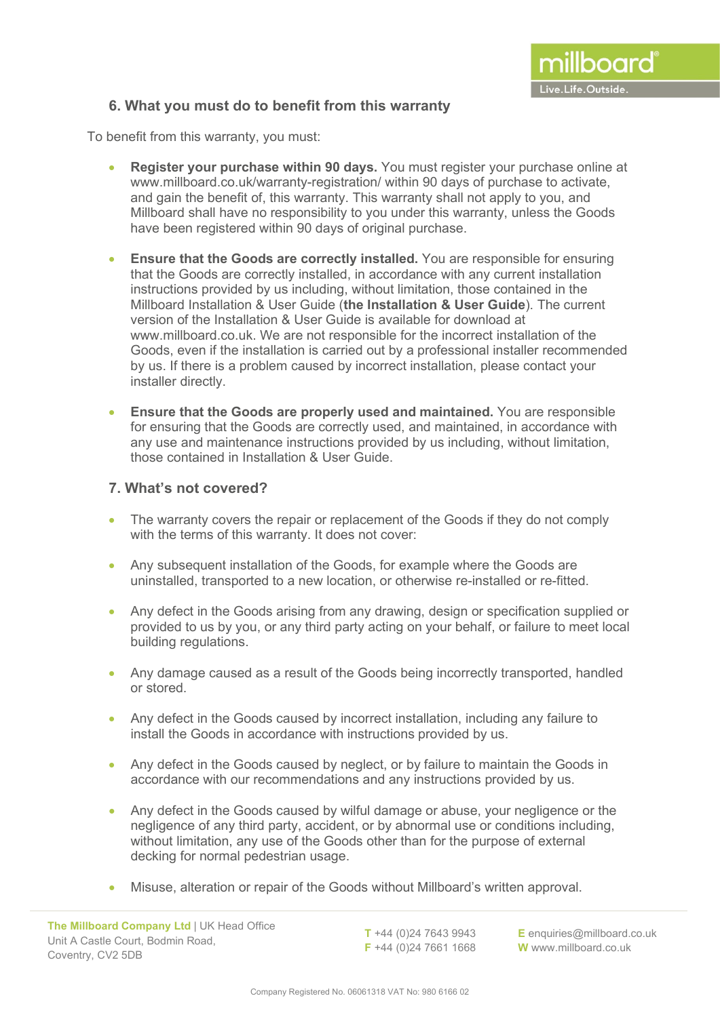### **6. What you must do to benefit from this warranty**

To benefit from this warranty, you must:

- **Register your purchase within 90 days.** You must register your purchase online at [www.millboard.co.uk/](http://www.millboard.co.uk/)warranty-registration/ within 90 days of purchase to activate, and gain the benefit of, this warranty. This warranty shall not apply to you, and Millboard shall have no responsibility to you under this warranty, unless the Goods have been registered within 90 days of original purchase.
- **Ensure that the Goods are correctly installed.** You are responsible for ensuring that the Goods are correctly installed, in accordance with any current installation instructions provided by us including, without limitation, those contained in the Millboard Installation & User Guide (**the Installation & User Guide**). The current version of the Installation & User Guide is available for download at [www.millboard.co.uk.](http://www.millboard.co.uk/) We are not responsible for the incorrect installation of the Goods, even if the installation is carried out by a professional installer recommended by us. If there is a problem caused by incorrect installation, please contact your installer directly.
- **Ensure that the Goods are properly used and maintained.** You are responsible for ensuring that the Goods are correctly used, and maintained, in accordance with any use and maintenance instructions provided by us including, without limitation, those contained in Installation & User Guide.

#### **7. What's not covered?**

- The warranty covers the repair or replacement of the Goods if they do not comply with the terms of this warranty. It does not cover:
- Any subsequent installation of the Goods, for example where the Goods are uninstalled, transported to a new location, or otherwise re-installed or re-fitted.
- Any defect in the Goods arising from any drawing, design or specification supplied or provided to us by you, or any third party acting on your behalf, or failure to meet local building regulations.
- Any damage caused as a result of the Goods being incorrectly transported, handled or stored.
- Any defect in the Goods caused by incorrect installation, including any failure to install the Goods in accordance with instructions provided by us.
- Any defect in the Goods caused by neglect, or by failure to maintain the Goods in accordance with our recommendations and any instructions provided by us.
- Any defect in the Goods caused by wilful damage or abuse, your negligence or the negligence of any third party, accident, or by abnormal use or conditions including, without limitation, any use of the Goods other than for the purpose of external decking for normal pedestrian usage.
- Misuse, alteration or repair of the Goods without Millboard's written approval.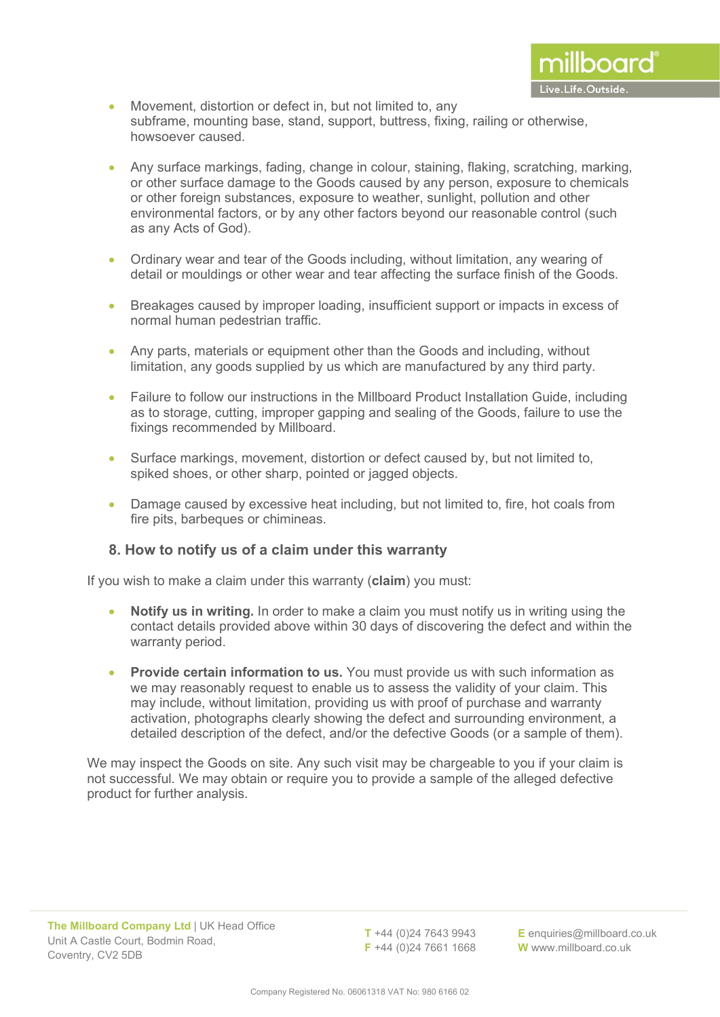- Movement, distortion or defect in, but not limited to, any subframe, mounting base, stand, support, buttress, fixing, railing or otherwise, howsoever caused.
- Any surface markings, fading, change in colour, staining, flaking, scratching, marking, or other surface damage to the Goods caused by any person, exposure to chemicals or other foreign substances, exposure to weather, sunlight, pollution and other environmental factors, or by any other factors beyond our reasonable control (such as any Acts of God).
- Ordinary wear and tear of the Goods including, without limitation, any wearing of detail or mouldings or other wear and tear affecting the surface finish of the Goods.
- Breakages caused by improper loading, insufficient support or impacts in excess of normal human pedestrian traffic.
- Any parts, materials or equipment other than the Goods and including, without limitation, any goods supplied by us which are manufactured by any third party.
- Failure to follow our instructions in the Millboard Product Installation Guide, including as to storage, cutting, improper gapping and sealing of the Goods, failure to use the fixings recommended by Millboard.
- Surface markings, movement, distortion or defect caused by, but not limited to, spiked shoes, or other sharp, pointed or jagged objects.
- Damage caused by excessive heat including, but not limited to, fire, hot coals from fire pits, barbeques or chimineas.

#### **8. How to notify us of a claim under this warranty**

If you wish to make a claim under this warranty (**claim**) you must:

- **Notify us in writing.** In order to make a claim you must notify us in writing using the contact details provided above within 30 days of discovering the defect and within the warranty period.
- **Provide certain information to us.** You must provide us with such information as we may reasonably request to enable us to assess the validity of your claim. This may include, without limitation, providing us with proof of purchase and warranty activation, photographs clearly showing the defect and surrounding environment, a detailed description of the defect, and/or the defective Goods (or a sample of them).

We may inspect the Goods on site. Any such visit may be chargeable to you if your claim is not successful. We may obtain or require you to provide a sample of the alleged defective product for further analysis.

**T** +44 (0)24 7643 9943 **F** +44 (0)24 7661 1668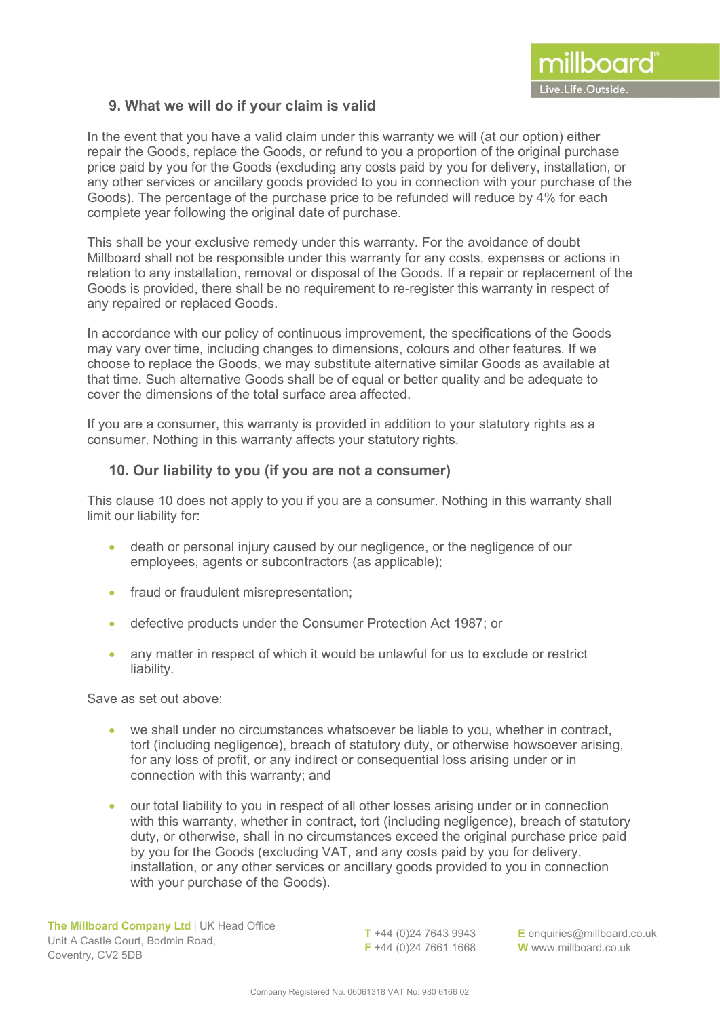#### **9. What we will do if your claim is valid**

In the event that you have a valid claim under this warranty we will (at our option) either repair the Goods, replace the Goods, or refund to you a proportion of the original purchase price paid by you for the Goods (excluding any costs paid by you for delivery, installation, or any other services or ancillary goods provided to you in connection with your purchase of the Goods). The percentage of the purchase price to be refunded will reduce by 4% for each complete year following the original date of purchase.

This shall be your exclusive remedy under this warranty. For the avoidance of doubt Millboard shall not be responsible under this warranty for any costs, expenses or actions in relation to any installation, removal or disposal of the Goods. If a repair or replacement of the Goods is provided, there shall be no requirement to re-register this warranty in respect of any repaired or replaced Goods.

In accordance with our policy of continuous improvement, the specifications of the Goods may vary over time, including changes to dimensions, colours and other features. If we choose to replace the Goods, we may substitute alternative similar Goods as available at that time. Such alternative Goods shall be of equal or better quality and be adequate to cover the dimensions of the total surface area affected.

If you are a consumer, this warranty is provided in addition to your statutory rights as a consumer. Nothing in this warranty affects your statutory rights.

#### **10. Our liability to you (if you are not a consumer)**

This clause 10 does not apply to you if you are a consumer. Nothing in this warranty shall limit our liability for:

- death or personal injury caused by our negligence, or the negligence of our employees, agents or subcontractors (as applicable);
- fraud or fraudulent misrepresentation:
- defective products under the Consumer Protection Act 1987; or
- any matter in respect of which it would be unlawful for us to exclude or restrict liability.

Save as set out above:

- we shall under no circumstances whatsoever be liable to you, whether in contract, tort (including negligence), breach of statutory duty, or otherwise howsoever arising, for any loss of profit, or any indirect or consequential loss arising under or in connection with this warranty; and
- our total liability to you in respect of all other losses arising under or in connection with this warranty, whether in contract, tort (including negligence), breach of statutory duty, or otherwise, shall in no circumstances exceed the original purchase price paid by you for the Goods (excluding VAT, and any costs paid by you for delivery, installation, or any other services or ancillary goods provided to you in connection with your purchase of the Goods).

**T** +44 (0)24 7643 9943 **F** +44 (0)24 7661 1668